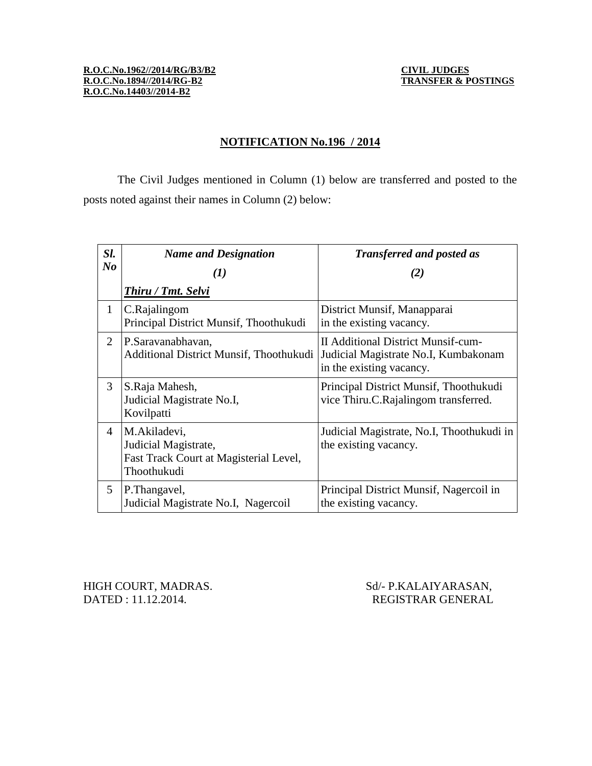#### **NOTIFICATION No.196 / 2014**

The Civil Judges mentioned in Column (1) below are transferred and posted to the posts noted against their names in Column (2) below:

| Sl.            | <b>Name and Designation</b>                                                                   | <b>Transferred and posted as</b>                                                                              |
|----------------|-----------------------------------------------------------------------------------------------|---------------------------------------------------------------------------------------------------------------|
| N <sub>o</sub> | $\bf(I)$                                                                                      | (2)                                                                                                           |
|                | <b>Thiru</b> / <b>Tmt.</b> Selvi                                                              |                                                                                                               |
| $\mathbf{1}$   | C.Rajalingom<br>Principal District Munsif, Thoothukudi                                        | District Munsif, Manapparai<br>in the existing vacancy.                                                       |
| $\overline{2}$ | P.Saravanabhavan,<br>Additional District Munsif, Thoothukudi                                  | <b>II Additional District Munsif-cum-</b><br>Judicial Magistrate No.I, Kumbakonam<br>in the existing vacancy. |
| 3              | S.Raja Mahesh,<br>Judicial Magistrate No.I,<br>Kovilpatti                                     | Principal District Munsif, Thoothukudi<br>vice Thiru.C.Rajalingom transferred.                                |
| $\overline{4}$ | M.Akiladevi,<br>Judicial Magistrate,<br>Fast Track Court at Magisterial Level,<br>Thoothukudi | Judicial Magistrate, No.I, Thoothukudi in<br>the existing vacancy.                                            |
| 5              | P. Thangavel,<br>Judicial Magistrate No.I, Nagercoil                                          | Principal District Munsif, Nagercoil in<br>the existing vacancy.                                              |

DATED : 11.12.2014. REGISTRAR GENERAL

HIGH COURT, MADRAS. Sd/- P.KALAIYARASAN,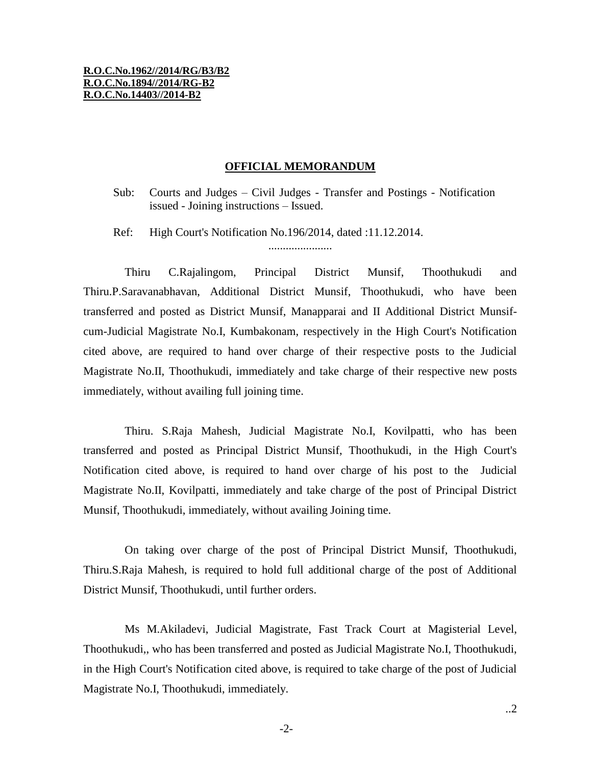#### **R.O.C.No.1962//2014/RG/B3/B2 R.O.C.No.1894//2014/RG-B2 R.O.C.No.14403//2014-B2**

#### **OFFICIAL MEMORANDUM**

Sub: Courts and Judges – Civil Judges - Transfer and Postings - Notification issued - Joining instructions – Issued.

Ref: High Court's Notification No.196/2014, dated :11.12.2014.

......................

Thiru C.Rajalingom, Principal District Munsif, Thoothukudi and Thiru.P.Saravanabhavan, Additional District Munsif, Thoothukudi, who have been transferred and posted as District Munsif, Manapparai and II Additional District Munsifcum-Judicial Magistrate No.I, Kumbakonam, respectively in the High Court's Notification cited above, are required to hand over charge of their respective posts to the Judicial Magistrate No.II, Thoothukudi, immediately and take charge of their respective new posts immediately, without availing full joining time.

Thiru. S.Raja Mahesh, Judicial Magistrate No.I, Kovilpatti, who has been transferred and posted as Principal District Munsif, Thoothukudi, in the High Court's Notification cited above, is required to hand over charge of his post to the Judicial Magistrate No.II, Kovilpatti, immediately and take charge of the post of Principal District Munsif, Thoothukudi, immediately, without availing Joining time.

On taking over charge of the post of Principal District Munsif, Thoothukudi, Thiru.S.Raja Mahesh, is required to hold full additional charge of the post of Additional District Munsif, Thoothukudi, until further orders.

Ms M.Akiladevi, Judicial Magistrate, Fast Track Court at Magisterial Level, Thoothukudi,, who has been transferred and posted as Judicial Magistrate No.I, Thoothukudi, in the High Court's Notification cited above, is required to take charge of the post of Judicial Magistrate No.I, Thoothukudi, immediately.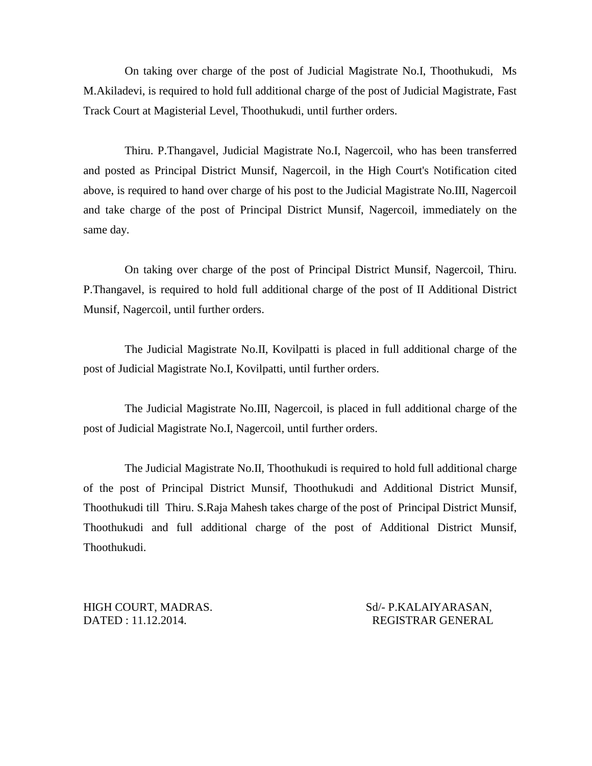On taking over charge of the post of Judicial Magistrate No.I, Thoothukudi, Ms M.Akiladevi, is required to hold full additional charge of the post of Judicial Magistrate, Fast Track Court at Magisterial Level, Thoothukudi, until further orders.

Thiru. P.Thangavel, Judicial Magistrate No.I, Nagercoil, who has been transferred and posted as Principal District Munsif, Nagercoil, in the High Court's Notification cited above, is required to hand over charge of his post to the Judicial Magistrate No.III, Nagercoil and take charge of the post of Principal District Munsif, Nagercoil, immediately on the same day.

On taking over charge of the post of Principal District Munsif, Nagercoil, Thiru. P.Thangavel, is required to hold full additional charge of the post of II Additional District Munsif, Nagercoil, until further orders.

The Judicial Magistrate No.II, Kovilpatti is placed in full additional charge of the post of Judicial Magistrate No.I, Kovilpatti, until further orders.

The Judicial Magistrate No.III, Nagercoil, is placed in full additional charge of the post of Judicial Magistrate No.I, Nagercoil, until further orders.

The Judicial Magistrate No.II, Thoothukudi is required to hold full additional charge of the post of Principal District Munsif, Thoothukudi and Additional District Munsif, Thoothukudi till Thiru. S.Raja Mahesh takes charge of the post of Principal District Munsif, Thoothukudi and full additional charge of the post of Additional District Munsif, Thoothukudi.

HIGH COURT, MADRAS. Sd/- P.KALAIYARASAN, DATED : 11.12.2014. REGISTRAR GENERAL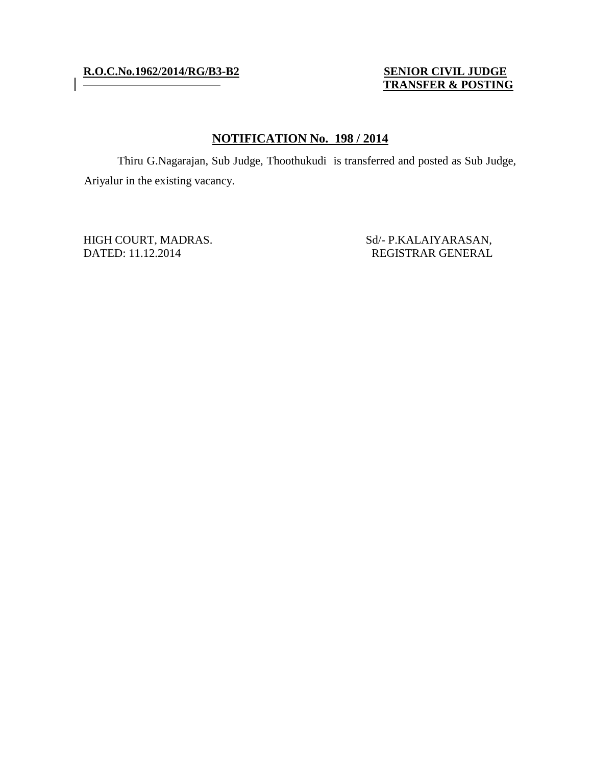# **R.O.C.No.1962/2014/RG/B3-B2 SENIOR CIVIL JUDGE**

# **TRANSFER & POSTING**

### **NOTIFICATION No. 198 / 2014**

Thiru G.Nagarajan, Sub Judge, Thoothukudi is transferred and posted as Sub Judge, Ariyalur in the existing vacancy.

HIGH COURT, MADRAS. Sd/- P.KALAIYARASAN, DATED: 11.12.2014 REGISTRAR GENERAL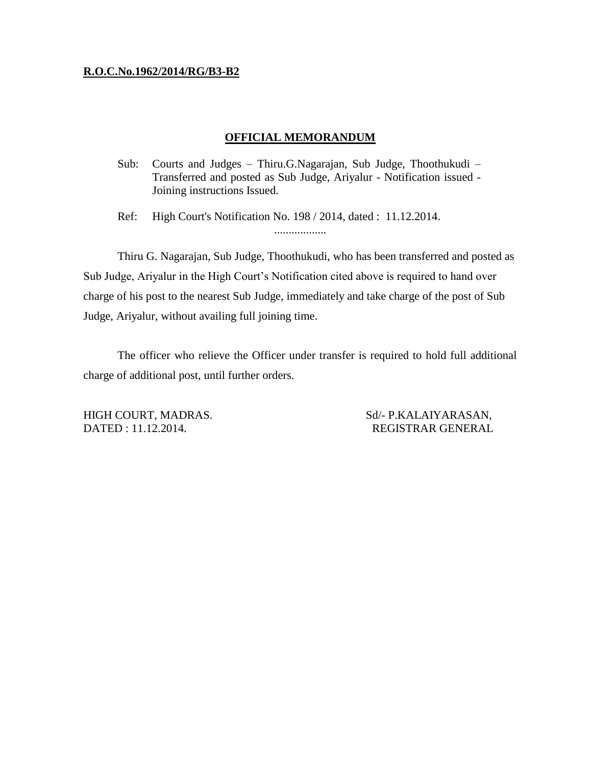#### **R.O.C.No.1962/2014/RG/B3-B2**

#### **OFFICIAL MEMORANDUM**

Sub: Courts and Judges – Thiru.G.Nagarajan, Sub Judge, Thoothukudi – Transferred and posted as Sub Judge, Ariyalur - Notification issued - Joining instructions Issued.

Ref: High Court's Notification No. 198 / 2014, dated : 11.12.2014. ..................

Thiru G. Nagarajan, Sub Judge, Thoothukudi, who has been transferred and posted as Sub Judge, Ariyalur in the High Court's Notification cited above is required to hand over charge of his post to the nearest Sub Judge, immediately and take charge of the post of Sub Judge, Ariyalur, without availing full joining time.

The officer who relieve the Officer under transfer is required to hold full additional charge of additional post, until further orders.

HIGH COURT, MADRAS. Sd/- P.KALAIYARASAN, DATED : 11.12.2014. REGISTRAR GENERAL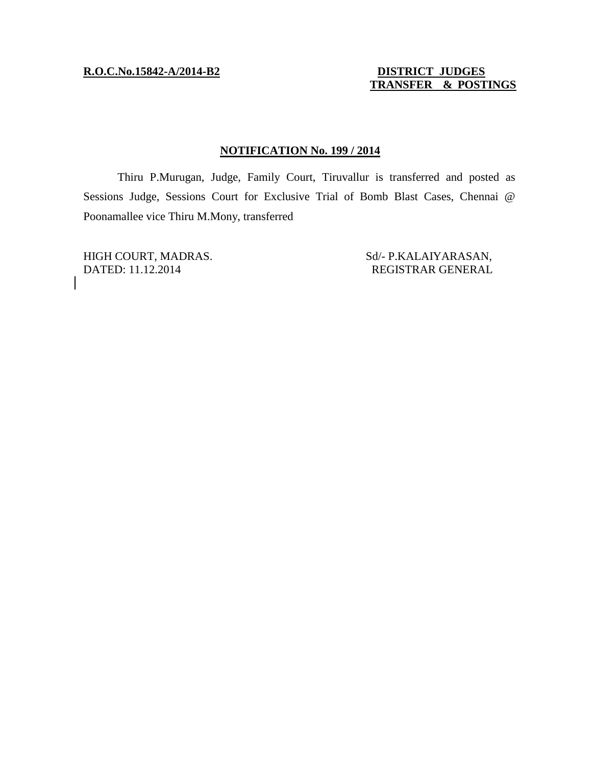# **R.O.C.No.15842-A/2014-B2 DISTRICT JUDGES**

# **TRANSFER & POSTINGS**

### **NOTIFICATION No. 199 / 2014**

Thiru P.Murugan, Judge, Family Court, Tiruvallur is transferred and posted as Sessions Judge, Sessions Court for Exclusive Trial of Bomb Blast Cases, Chennai @ Poonamallee vice Thiru M.Mony, transferred

DATED: 11.12.2014 REGISTRAR GENERAL

HIGH COURT, MADRAS. Sd/- P.KALAIYARASAN,